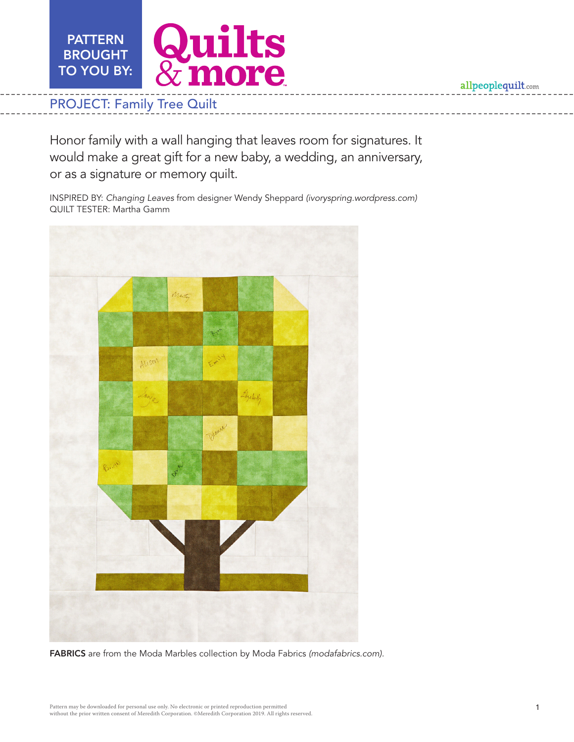**Quilts<br>& more PATTERN** BROUGHT TO YOU BY:

# PROJECT: Family Tree Quilt

Honor family with a wall hanging that leaves room for signatures. It would make a great gift for a new baby, a wedding, an anniversary, or as a signature or memory quilt.

INSPIRED BY: *Changing Leaves* from designer Wendy Sheppard *(ivoryspring.wordpress.com)* QUILT TESTER: Martha Gamm



FABRICS are from the Moda Marbles collection by Moda Fabrics *(modafabrics.com).*

allpeoplequilt.com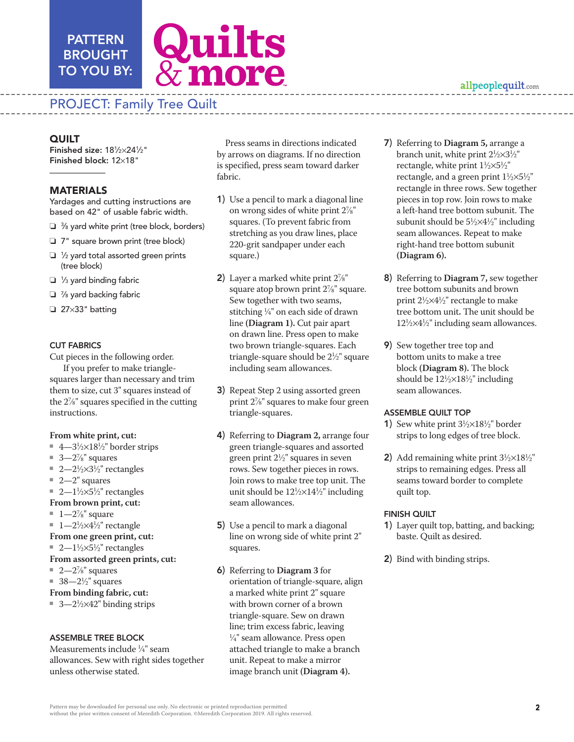## PATTERN BROUGHT TO YOU BY:



# PROJECT: Family Tree Quilt

Finished size: 181/2×241/2" Finished block: 12×18"

### MATERIALS

Yardages and cutting instructions are based on 42" of usable fabric width.

- $\Box$   $\frac{3}{8}$  yard white print (tree block, borders)
- $\Box$  7" square brown print (tree block)
- $\Box$  1/<sub>2</sub> yard total assorted green prints (tree block)
- $\Box$  1/<sub>3</sub> yard binding fabric
- $\Box$   $\%$  yard backing fabric
- $\Box$  27×33" batting

#### CUT FABRICS

Cut pieces in the following order.

If you prefer to make trianglesquares larger than necessary and trim them to size, cut 3" squares instead of the 27 ⁄8" squares specified in the cutting instructions.

#### **From white print, cut:**

- 4—3½×18½" border strips
- $\blacksquare$  3—2<sup>7</sup>/<sub>8</sub>" squares
- $2-2\frac{1}{2}\times3\frac{1}{2}$ " rectangles
- $2-2$ " squares

#### ■ 2— $1\frac{1}{2} \times 5\frac{1}{2}$ " rectangles

#### **From brown print, cut:**

- $\blacksquare$  1—2%" square
- $1-2\frac{1}{2} \times 4\frac{1}{2}$ " rectangle
- **From one green print, cut:**
- 2— $1\frac{1}{2} \times 5\frac{1}{2}$ " rectangles
- **From assorted green prints, cut:**
- $\blacksquare$  2—2<sup>7</sup>/<sub>8</sub>" squares
- 38— $2\frac{1}{2}$ " squares

#### **From binding fabric, cut:**

■ 3—2<sup>1</sup>/2×42" binding strips

#### ASSEMBLE TREE BLOCK

Measurements include 1 ⁄4" seam allowances. Sew with right sides together unless otherwise stated.

Press seams in directions indicated by arrows on diagrams. If no direction is specified, press seam toward darker fabric.

- 1) Use a pencil to mark a diagonal line on wrong sides of white print 27 ⁄8" squares. (To prevent fabric from stretching as you draw lines, place 220-grit sandpaper under each square.)
- 2) Layer a marked white print  $2\frac{7}{8}$ " square atop brown print 27 ⁄8" square. Sew together with two seams, stitching 1 ⁄4" on each side of drawn line **(Diagram 1).** Cut pair apart on drawn line. Press open to make two brown triangle-squares. Each triangle-square should be 21 ⁄2" square including seam allowances.
- 3) Repeat Step 2 using assorted green print 27 ⁄8" squares to make four green triangle-squares.
- 4) Referring to **Diagram 2,** arrange four green triangle-squares and assorted green print  $2\frac{1}{2}$ " squares in seven rows. Sew together pieces in rows. Join rows to make tree top unit. The unit should be  $12\frac{1}{2} \times 14\frac{1}{2}$ " including seam allowances.
- 5) Use a pencil to mark a diagonal line on wrong side of white print 2" squares.
- 6) Referring to **Diagram 3** for orientation of triangle-square, align a marked white print 2" square with brown corner of a brown triangle-square. Sew on drawn line; trim excess fabric, leaving 1 ⁄4" seam allowance. Press open attached triangle to make a branch unit. Repeat to make a mirror image branch unit **(Diagram 4).**
- **COUT CONSULTER CONSULTER CONSULTER CONSULTER CONSULTER CONSULTER CONSULTER CONSULTER CONSULTER CONSULTER CONSULTER CONSULTER CONSULTER CONSULTER CONSULTER CONSULTER CONSULTER CONSULTER CONSULTER CONSULTER CONSULTER CONSUL** 7) Referring to **Diagram 5,** arrange a branch unit, white print  $2\frac{1}{2} \times 3\frac{1}{2}$ " rectangle, white print  $1\frac{1}{2} \times 5\frac{1}{2}$ " rectangle, and a green print  $1\frac{1}{2} \times 5\frac{1}{2}$ " rectangle in three rows. Sew together pieces in top row. Join rows to make a left-hand tree bottom subunit. The subunit should be  $5\frac{1}{2} \times 4\frac{1}{2}$ " including seam allowances. Repeat to make right-hand tree bottom subunit **(Diagram 6).**
	- 8) Referring to **Diagram 7,** sew together tree bottom subunits and brown print 21 ⁄2×41 ⁄2" rectangle to make tree bottom unit**.** The unit should be  $12\frac{1}{2}\times4\frac{1}{2}$ " including seam allowances.
	- 9) Sew together tree top and bottom units to make a tree block **(Diagram 8).** The block should be  $12\frac{1}{2}\times 18\frac{1}{2}$ " including seam allowances.

#### ASSEMBLE QUILT TOP

- **1)** Sew white print  $3\frac{1}{2} \times 18\frac{1}{2}$ " border strips to long edges of tree block.
- 2) Add remaining white print  $3\frac{1}{2}\times18\frac{1}{2}$ " strips to remaining edges. Press all seams toward border to complete quilt top.

#### FINISH QUILT

- 1) Layer quilt top, batting, and backing; baste. Quilt as desired.
- 2) Bind with binding strips.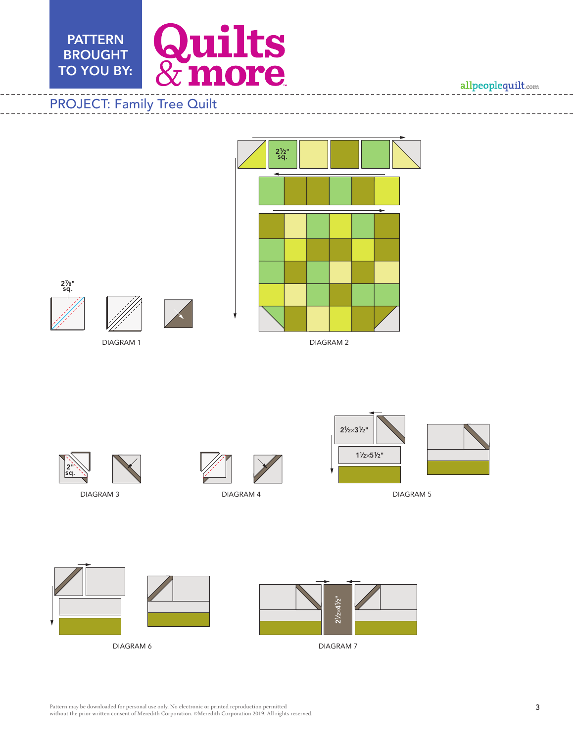

allpeoplequilt.com

# DIAGRAM 1 DIAGRAM 2

21 ⁄2" sq.







DIAGRAM 3







DIAGRAM 4 DIAGRAM 5





DIAGRAM 6 DIAGRAM 7